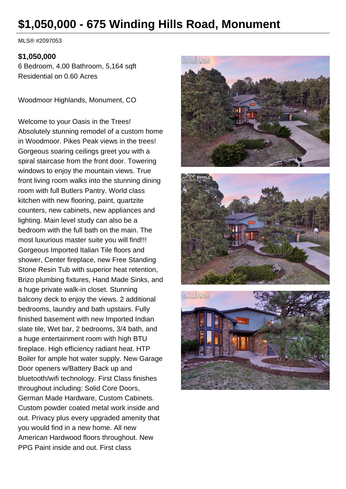# **\$1,050,000 - 675 Winding Hills Road, Monument**

MLS® #2097053

#### **\$1,050,000**

6 Bedroom, 4.00 Bathroom, 5,164 sqft Residential on 0.60 Acres

Woodmoor Highlands, Monument, CO

Welcome to your Oasis in the Trees! Absolutely stunning remodel of a custom home in Woodmoor. Pikes Peak views in the trees! Gorgeous soaring ceilings greet you with a spiral staircase from the front door. Towering windows to enjoy the mountain views. True front living room walks into the stunning dining room with full Butlers Pantry. World class kitchen with new flooring, paint, quartzite counters, new cabinets, new appliances and lighting. Main level study can also be a bedroom with the full bath on the main. The most luxurious master suite you will find!!! Gorgeous Imported Italian Tile floors and shower, Center fireplace, new Free Standing Stone Resin Tub with superior heat retention, Brizo plumbing fixtures, Hand Made Sinks, and a huge private walk-in closet. Stunning balcony deck to enjoy the views. 2 additional bedrooms, laundry and bath upstairs. Fully finished basement with new Imported Indian slate tile, Wet bar, 2 bedrooms, 3/4 bath, and a huge entertainment room with high BTU fireplace. High efficiency radiant heat. HTP Boiler for ample hot water supply. New Garage Door openers w/Battery Back up and bluetooth/wifi technology. First Class finishes throughout including: Solid Core Doors, German Made Hardware, Custom Cabinets. Custom powder coated metal work inside and out. Privacy plus every upgraded amenity that you would find in a new home. All new American Hardwood floors throughout. New PPG Paint inside and out. First class





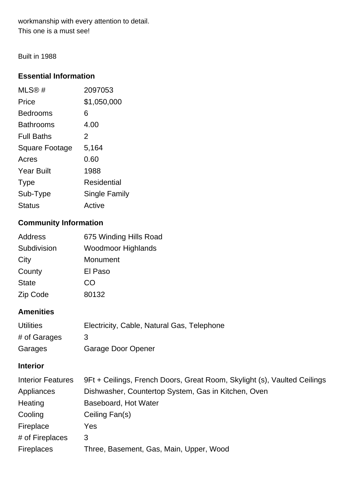workmanship with every attention to detail. This one is a must see!

Built in 1988

## **Essential Information**

| MLS@#                 | 2097053       |
|-----------------------|---------------|
| Price                 | \$1,050,000   |
| <b>Bedrooms</b>       | 6             |
| <b>Bathrooms</b>      | 4.00          |
| <b>Full Baths</b>     | 2             |
| <b>Square Footage</b> | 5,164         |
| Acres                 | 0.60          |
| <b>Year Built</b>     | 1988          |
| <b>Type</b>           | Residential   |
| Sub-Type              | Single Family |
| <b>Status</b>         | Active        |

# **Community Information**

| Address      | 675 Winding Hills Road    |
|--------------|---------------------------|
| Subdivision  | <b>Woodmoor Highlands</b> |
| City         | Monument                  |
| County       | El Paso                   |
| <b>State</b> | CO                        |
| Zip Code     | 80132                     |

# **Amenities**

| <b>Utilities</b> | Electricity, Cable, Natural Gas, Telephone |
|------------------|--------------------------------------------|
| # of Garages     |                                            |
| Garages          | Garage Door Opener                         |

## **Interior**

| <b>Interior Features</b> | 9Ft + Ceilings, French Doors, Great Room, Skylight (s), Vaulted Ceilings |
|--------------------------|--------------------------------------------------------------------------|
| Appliances               | Dishwasher, Countertop System, Gas in Kitchen, Oven                      |
| Heating                  | Baseboard, Hot Water                                                     |
| Cooling                  | Ceiling Fan(s)                                                           |
| Fireplace                | Yes.                                                                     |
| # of Fireplaces          | 3                                                                        |
| <b>Fireplaces</b>        | Three, Basement, Gas, Main, Upper, Wood                                  |